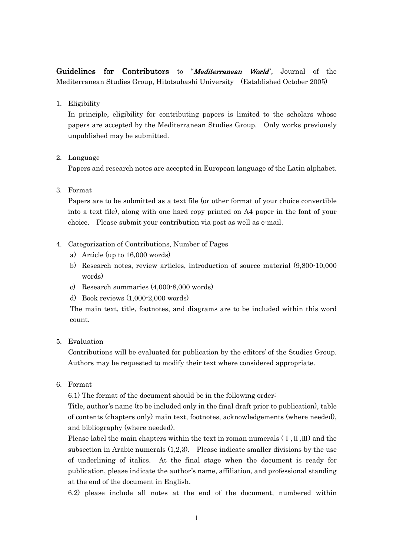Guidelines for Contributors to "*Mediterranean World*", Journal of the Mediterranean Studies Group, Hitotsubashi University (Established October 2005)

1. Eligibility

In principle, eligibility for contributing papers is limited to the scholars whose papers are accepted by the Mediterranean Studies Group. Only works previously unpublished may be submitted.

## 2. Language

Papers and research notes are accepted in European language of the Latin alphabet.

3. Format

Papers are to be submitted as a text file (or other format of your choice convertible into a text file), along with one hard copy printed on A4 paper in the font of your choice. Please submit your contribution via post as well as e-mail.

- 4. Categorization of Contributions, Number of Pages
	- a) Article (up to 16,000 words)
	- b) Research notes, review articles, introduction of source material (9,800-10,000 words)
	- c) Research summaries (4,000-8,000 words)
	- d) Book reviews (1,000-2,000 words)

The main text, title, footnotes, and diagrams are to be included within this word count.

5. Evaluation

Contributions will be evaluated for publication by the editors' of the Studies Group. Authors may be requested to modify their text where considered appropriate.

6. Format

6.1) The format of the document should be in the following order:

Title, author's name (to be included only in the final draft prior to publication), table of contents (chapters only) main text, footnotes, acknowledgements (where needed), and bibliography (where needed).

Please label the main chapters within the text in roman numerals  $(I, \Pi, \Pi)$  and the subsection in Arabic numerals  $(1,2,3)$ . Please indicate smaller divisions by the use of underlining of italics. At the final stage when the document is ready for publication, please indicate the author's name, affiliation, and professional standing at the end of the document in English.

6.2) please include all notes at the end of the document, numbered within